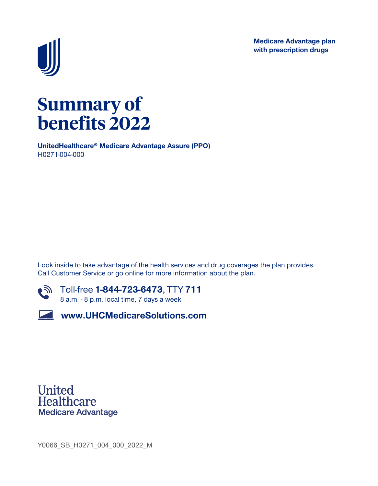**Medicare Advantage plan with prescription drugs**



# **Summary of benefits 2022**

**UnitedHealthcare® Medicare Advantage Assure (PPO) H0271-004-000**

**Look inside to take advantage of the health services and drug coverages the plan provides. Call Customer Service or go online for more information about the plan.**



**Toll-free 1-844-723-6473, TTY 711 8 a.m. - 8 p.m. local time, 7 days a week**

**www.UHCMedicareSolutions.com**

**United Healthcare Medicare Advantage** 

**Y0066\_SB\_H0271\_004\_000\_2022\_M**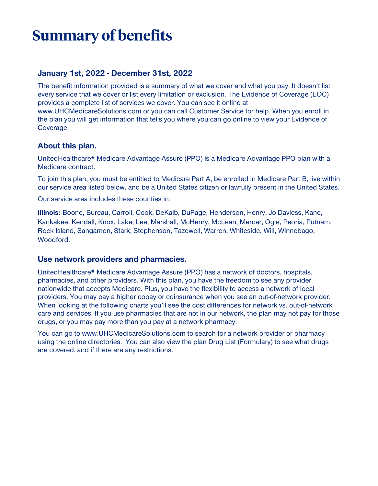# **Summary of benefits**

#### **January 1st, 2022 - December 31st, 2022**

**The benefit information provided is a summary of what we cover and what you pay. It doesn't list every service that we cover or list every limitation or exclusion. The Evidence of Coverage (EOC) provides a complete list of services we cover. You can see it online at www.UHCMedicareSolutions.com or you can call Customer Service for help. When you enroll in the plan you will get information that tells you where you can go online to view your Evidence of Coverage.**

#### **About this plan.**

**UnitedHealthcare® Medicare Advantage Assure (PPO) is a Medicare Advantage PPO plan with a Medicare contract.**

**To join this plan, you must be entitled to Medicare Part A, be enrolled in Medicare Part B, live within our service area listed below, and be a United States citizen or lawfully present in the United States.**

**Our service area includes these counties in:**

**Illinois: Boone, Bureau, Carroll, Cook, DeKalb, DuPage, Henderson, Henry, Jo Daviess, Kane, Kankakee, Kendall, Knox, Lake, Lee, Marshall, McHenry, McLean, Mercer, Ogle, Peoria, Putnam, Rock Island, Sangamon, Stark, Stephenson, Tazewell, Warren, Whiteside, Will, Winnebago, Woodford.**

#### **Use network providers and pharmacies.**

**UnitedHealthcare® Medicare Advantage Assure (PPO) has a network of doctors, hospitals, pharmacies, and other providers. With this plan, you have the freedom to see any provider nationwide that accepts Medicare. Plus, you have the flexibility to access a network of local providers. You may pay a higher copay or coinsurance when you see an out-of-network provider. When looking at the following charts you'll see the cost differences for network vs. out-of-network care and services. If you use pharmacies that are not in our network, the plan may not pay for those drugs, or you may pay more than you pay at a network pharmacy.**

**You can go to www.UHCMedicareSolutions.com to search for a network provider or pharmacy using the online directories. You can also view the plan Drug List (Formulary) to see what drugs are covered, and if there are any restrictions.**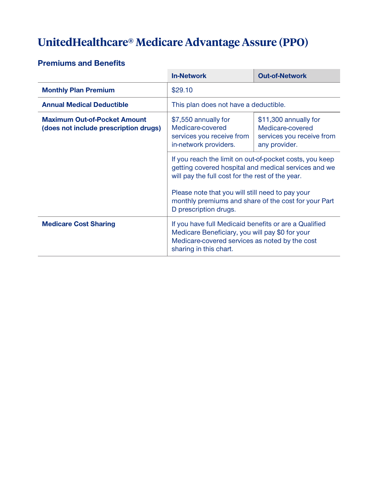# **UnitedHealthcare® Medicare Advantage Assure (PPO)**

#### **Premiums and Benefits**

|                                                                              | <b>In-Network</b>                                                                                                                                                                                                                                                                                        | <b>Out-of-Network</b>                                                                   |
|------------------------------------------------------------------------------|----------------------------------------------------------------------------------------------------------------------------------------------------------------------------------------------------------------------------------------------------------------------------------------------------------|-----------------------------------------------------------------------------------------|
| <b>Monthly Plan Premium</b>                                                  | \$29.10                                                                                                                                                                                                                                                                                                  |                                                                                         |
| <b>Annual Medical Deductible</b>                                             | This plan does not have a deductible.                                                                                                                                                                                                                                                                    |                                                                                         |
| <b>Maximum Out-of-Pocket Amount</b><br>(does not include prescription drugs) | \$7,550 annually for<br>Medicare-covered<br>services you receive from<br>in-network providers.                                                                                                                                                                                                           | \$11,300 annually for<br>Medicare-covered<br>services you receive from<br>any provider. |
|                                                                              | If you reach the limit on out-of-pocket costs, you keep<br>getting covered hospital and medical services and we<br>will pay the full cost for the rest of the year.<br>Please note that you will still need to pay your<br>monthly premiums and share of the cost for your Part<br>D prescription drugs. |                                                                                         |
|                                                                              |                                                                                                                                                                                                                                                                                                          |                                                                                         |
| <b>Medicare Cost Sharing</b>                                                 | If you have full Medicaid benefits or are a Qualified<br>Medicare Beneficiary, you will pay \$0 for your<br>Medicare-covered services as noted by the cost<br>sharing in this chart.                                                                                                                     |                                                                                         |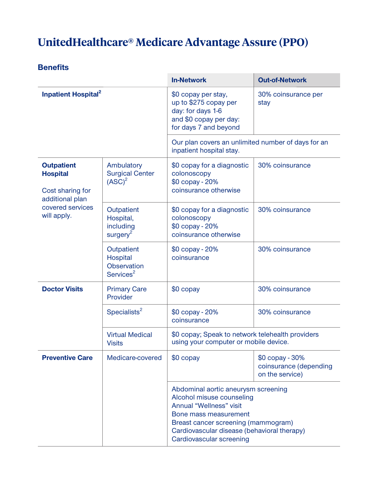# **UnitedHealthcare® Medicare Advantage Assure (PPO)**

|                                                                                                                |                                                                | <b>In-Network</b>                                                                                                                                                                                                                      | <b>Out-of-Network</b>                                        |
|----------------------------------------------------------------------------------------------------------------|----------------------------------------------------------------|----------------------------------------------------------------------------------------------------------------------------------------------------------------------------------------------------------------------------------------|--------------------------------------------------------------|
| <b>Inpatient Hospital</b> <sup>2</sup>                                                                         |                                                                | \$0 copay per stay,<br>up to \$275 copay per<br>day: for days 1-6<br>and \$0 copay per day:<br>for days 7 and beyond                                                                                                                   | 30% coinsurance per<br>stay                                  |
|                                                                                                                |                                                                | Our plan covers an unlimited number of days for an<br>inpatient hospital stay.                                                                                                                                                         |                                                              |
| <b>Outpatient</b><br><b>Hospital</b><br>Cost sharing for<br>additional plan<br>covered services<br>will apply. | Ambulatory<br><b>Surgical Center</b><br>(ASC) <sup>2</sup>     | \$0 copay for a diagnostic<br>colonoscopy<br>\$0 copay - 20%<br>coinsurance otherwise                                                                                                                                                  | 30% coinsurance                                              |
|                                                                                                                | Outpatient<br>Hospital,<br>including<br>surgery <sup>2</sup>   | \$0 copay for a diagnostic<br>colonoscopy<br>\$0 copay - 20%<br>coinsurance otherwise                                                                                                                                                  | 30% coinsurance                                              |
|                                                                                                                | Outpatient<br>Hospital<br>Observation<br>Services <sup>2</sup> | \$0 copay - 20%<br>coinsurance                                                                                                                                                                                                         | 30% coinsurance                                              |
| <b>Doctor Visits</b>                                                                                           | <b>Primary Care</b><br>Provider                                | \$0 copay                                                                                                                                                                                                                              | 30% coinsurance                                              |
|                                                                                                                | Specialists <sup>2</sup>                                       | \$0 copay - 20%<br>coinsurance                                                                                                                                                                                                         | 30% coinsurance                                              |
|                                                                                                                | <b>Virtual Medical</b><br><b>Visits</b>                        | \$0 copay; Speak to network telehealth providers<br>using your computer or mobile device.                                                                                                                                              |                                                              |
| <b>Preventive Care</b>                                                                                         | Medicare-covered                                               | \$0 copay                                                                                                                                                                                                                              | \$0 copay - 30%<br>coinsurance (depending<br>on the service) |
|                                                                                                                |                                                                | Abdominal aortic aneurysm screening<br>Alcohol misuse counseling<br>Annual "Wellness" visit<br>Bone mass measurement<br>Breast cancer screening (mammogram)<br>Cardiovascular disease (behavioral therapy)<br>Cardiovascular screening |                                                              |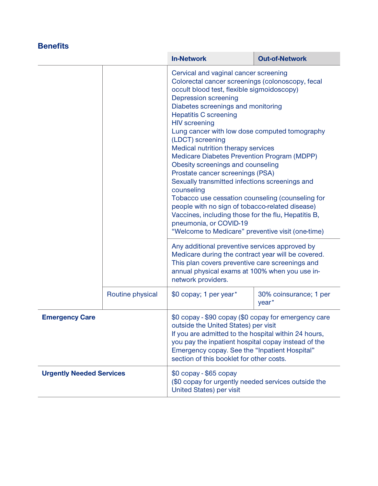|                                 |                  | <b>In-Network</b>                                                                                                                                                                                                                                                                                                                                                                                                                                                                                                                                                                                                                                                                                                                                                                                                                                                                                                                                                                                                                                       | <b>Out-of-Network</b>                       |
|---------------------------------|------------------|---------------------------------------------------------------------------------------------------------------------------------------------------------------------------------------------------------------------------------------------------------------------------------------------------------------------------------------------------------------------------------------------------------------------------------------------------------------------------------------------------------------------------------------------------------------------------------------------------------------------------------------------------------------------------------------------------------------------------------------------------------------------------------------------------------------------------------------------------------------------------------------------------------------------------------------------------------------------------------------------------------------------------------------------------------|---------------------------------------------|
|                                 |                  | Cervical and vaginal cancer screening<br>Colorectal cancer screenings (colonoscopy, fecal<br>occult blood test, flexible sigmoidoscopy)<br><b>Depression screening</b><br>Diabetes screenings and monitoring<br><b>Hepatitis C screening</b><br><b>HIV</b> screening<br>Lung cancer with low dose computed tomography<br>(LDCT) screening<br>Medical nutrition therapy services<br>Medicare Diabetes Prevention Program (MDPP)<br>Obesity screenings and counseling<br>Prostate cancer screenings (PSA)<br>Sexually transmitted infections screenings and<br>counseling<br>Tobacco use cessation counseling (counseling for<br>people with no sign of tobacco-related disease)<br>Vaccines, including those for the flu, Hepatitis B,<br>pneumonia, or COVID-19<br>"Welcome to Medicare" preventive visit (one-time)<br>Any additional preventive services approved by<br>Medicare during the contract year will be covered.<br>This plan covers preventive care screenings and<br>annual physical exams at 100% when you use in-<br>network providers. |                                             |
|                                 |                  |                                                                                                                                                                                                                                                                                                                                                                                                                                                                                                                                                                                                                                                                                                                                                                                                                                                                                                                                                                                                                                                         |                                             |
|                                 | Routine physical | \$0 copay; 1 per year*                                                                                                                                                                                                                                                                                                                                                                                                                                                                                                                                                                                                                                                                                                                                                                                                                                                                                                                                                                                                                                  | 30% coinsurance; 1 per<br>year <sup>*</sup> |
| <b>Emergency Care</b>           |                  | \$0 copay - \$90 copay (\$0 copay for emergency care<br>outside the United States) per visit<br>If you are admitted to the hospital within 24 hours,<br>you pay the inpatient hospital copay instead of the<br>Emergency copay. See the "Inpatient Hospital"<br>section of this booklet for other costs.                                                                                                                                                                                                                                                                                                                                                                                                                                                                                                                                                                                                                                                                                                                                                |                                             |
| <b>Urgently Needed Services</b> |                  | $$0$ copay - $$65$ copay<br>(\$0 copay for urgently needed services outside the<br>United States) per visit                                                                                                                                                                                                                                                                                                                                                                                                                                                                                                                                                                                                                                                                                                                                                                                                                                                                                                                                             |                                             |

T.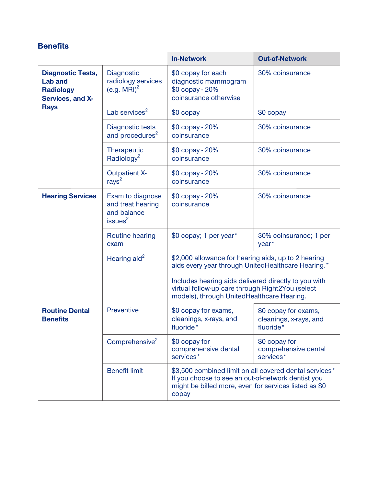|                                                                                    |                                                                             | <b>In-Network</b>                                                                                                                                                                                                     | <b>Out-of-Network</b>                                          |
|------------------------------------------------------------------------------------|-----------------------------------------------------------------------------|-----------------------------------------------------------------------------------------------------------------------------------------------------------------------------------------------------------------------|----------------------------------------------------------------|
| <b>Diagnostic Tests,</b><br><b>Lab and</b><br><b>Radiology</b><br>Services, and X- | Diagnostic<br>radiology services<br>(e.g. $MRI)^2$                          | \$0 copay for each<br>diagnostic mammogram<br>\$0 copay - 20%<br>coinsurance otherwise                                                                                                                                | 30% coinsurance                                                |
| <b>Rays</b>                                                                        | Lab services <sup>2</sup>                                                   | $$0$ copay                                                                                                                                                                                                            | $$0$ copay                                                     |
|                                                                                    | Diagnostic tests<br>and procedures <sup>2</sup>                             | \$0 copay - 20%<br>coinsurance                                                                                                                                                                                        | 30% coinsurance                                                |
|                                                                                    | Therapeutic<br>Radiology <sup>2</sup>                                       | \$0 copay - 20%<br>coinsurance                                                                                                                                                                                        | 30% coinsurance                                                |
|                                                                                    | <b>Outpatient X-</b><br>rays $2$                                            | \$0 copay - 20%<br>coinsurance                                                                                                                                                                                        | 30% coinsurance                                                |
| <b>Hearing Services</b>                                                            | Exam to diagnose<br>and treat hearing<br>and balance<br>issues <sup>2</sup> | \$0 copay - 20%<br>coinsurance                                                                                                                                                                                        | 30% coinsurance                                                |
|                                                                                    | Routine hearing<br>exam                                                     | \$0 copay; 1 per year*                                                                                                                                                                                                | 30% coinsurance; 1 per<br>year <sup>*</sup>                    |
|                                                                                    | Hearing aid $^2$                                                            | \$2,000 allowance for hearing aids, up to 2 hearing<br>aids every year through UnitedHealthcare Hearing.*<br>Includes hearing aids delivered directly to you with<br>virtual follow-up care through Right2You (select |                                                                |
|                                                                                    |                                                                             | models), through UnitedHealthcare Hearing.                                                                                                                                                                            |                                                                |
| <b>Routine Dental</b><br><b>Benefits</b>                                           | Preventive                                                                  | \$0 copay for exams,<br>cleanings, x-rays, and<br>fluoride*                                                                                                                                                           | \$0 copay for exams,<br>cleanings, x-rays, and<br>fluoride*    |
|                                                                                    | Comprehensive <sup>2</sup>                                                  | \$0 copay for<br>comprehensive dental<br>services*                                                                                                                                                                    | \$0 copay for<br>comprehensive dental<br>services <sup>*</sup> |
|                                                                                    | <b>Benefit limit</b>                                                        | \$3,500 combined limit on all covered dental services*<br>If you choose to see an out-of-network dentist you<br>might be billed more, even for services listed as \$0<br>copay                                        |                                                                |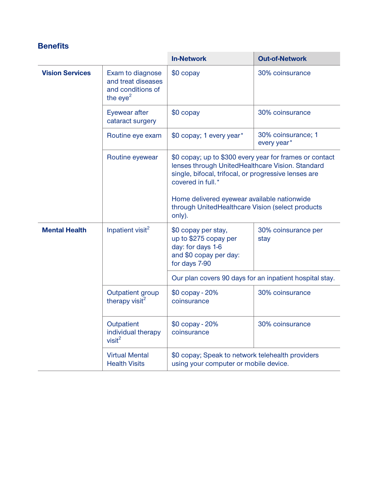|                        |                                                                           | <b>In-Network</b>                                                                                                                                                                                                                          | <b>Out-of-Network</b>                                   |
|------------------------|---------------------------------------------------------------------------|--------------------------------------------------------------------------------------------------------------------------------------------------------------------------------------------------------------------------------------------|---------------------------------------------------------|
| <b>Vision Services</b> | Exam to diagnose<br>and treat diseases<br>and conditions of<br>the $eye2$ | \$0 copay                                                                                                                                                                                                                                  | 30% coinsurance                                         |
|                        | Eyewear after<br>cataract surgery                                         | $$0$ copay                                                                                                                                                                                                                                 | 30% coinsurance                                         |
|                        | Routine eye exam                                                          | \$0 copay; 1 every year*                                                                                                                                                                                                                   | 30% coinsurance; 1<br>every year*                       |
|                        | Routine eyewear                                                           | lenses through UnitedHealthcare Vision. Standard<br>single, bifocal, trifocal, or progressive lenses are<br>covered in full.*<br>Home delivered eyewear available nationwide<br>through UnitedHealthcare Vision (select products<br>only). | \$0 copay; up to \$300 every year for frames or contact |
| <b>Mental Health</b>   | Inpatient visit <sup>2</sup>                                              | \$0 copay per stay,<br>up to \$275 copay per<br>day: for days 1-6<br>and \$0 copay per day:<br>for days 7-90                                                                                                                               | 30% coinsurance per<br>stay                             |
|                        |                                                                           | Our plan covers 90 days for an inpatient hospital stay.                                                                                                                                                                                    |                                                         |
|                        | Outpatient group<br>therapy visit <sup>2</sup>                            | \$0 copay - 20%<br>coinsurance                                                                                                                                                                                                             | 30% coinsurance                                         |
|                        | Outpatient<br>individual therapy<br>visit <sup>2</sup>                    | \$0 copay - 20%<br>coinsurance                                                                                                                                                                                                             | 30% coinsurance                                         |
|                        | <b>Virtual Mental</b><br><b>Health Visits</b>                             | \$0 copay; Speak to network telehealth providers<br>using your computer or mobile device.                                                                                                                                                  |                                                         |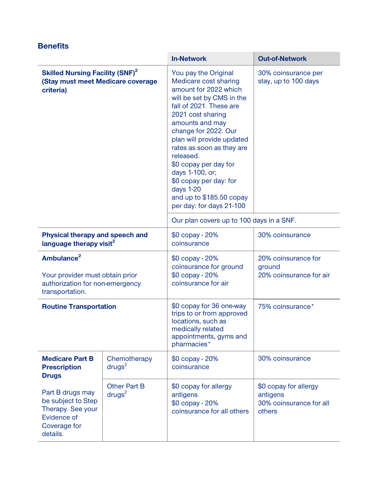|                                                                                                                 |                                           | <b>In-Network</b>                                                                                                                                                                                                                                                                                                                                                                                                | <b>Out-of-Network</b>                                                  |
|-----------------------------------------------------------------------------------------------------------------|-------------------------------------------|------------------------------------------------------------------------------------------------------------------------------------------------------------------------------------------------------------------------------------------------------------------------------------------------------------------------------------------------------------------------------------------------------------------|------------------------------------------------------------------------|
| <b>Skilled Nursing Facility (SNF)<sup>2</sup></b><br>(Stay must meet Medicare coverage<br>criteria)             |                                           | You pay the Original<br>Medicare cost sharing<br>amount for 2022 which<br>will be set by CMS in the<br>fall of 2021. These are<br>2021 cost sharing<br>amounts and may<br>change for 2022. Our<br>plan will provide updated<br>rates as soon as they are<br>released.<br>\$0 copay per day for<br>days 1-100, or;<br>\$0 copay per day: for<br>days 1-20<br>and up to \$185.50 copay<br>per day: for days 21-100 | 30% coinsurance per<br>stay, up to 100 days                            |
|                                                                                                                 |                                           | Our plan covers up to 100 days in a SNF.                                                                                                                                                                                                                                                                                                                                                                         |                                                                        |
| Physical therapy and speech and<br>language therapy visit <sup>2</sup>                                          |                                           | \$0 copay - 20%<br>coinsurance                                                                                                                                                                                                                                                                                                                                                                                   | 30% coinsurance                                                        |
| Ambulance <sup>2</sup><br>Your provider must obtain prior<br>authorization for non-emergency<br>transportation. |                                           | \$0 copay - 20%<br>coinsurance for ground<br>\$0 copay - 20%<br>coinsurance for air                                                                                                                                                                                                                                                                                                                              | 20% coinsurance for<br>ground<br>20% coinsurance for air               |
| <b>Routine Transportation</b>                                                                                   |                                           | \$0 copay for 36 one-way<br>trips to or from approved<br>locations, such as<br>medically related<br>appointments, gyms and<br>pharmacies*                                                                                                                                                                                                                                                                        | 75% coinsurance*                                                       |
| <b>Medicare Part B</b><br><b>Prescription</b><br><b>Drugs</b>                                                   | Chemotherapy<br>drugs <sup>2</sup>        | \$0 copay - 20%<br>coinsurance                                                                                                                                                                                                                                                                                                                                                                                   | 30% coinsurance                                                        |
| Part B drugs may<br>be subject to Step<br>Therapy. See your<br>Evidence of<br>Coverage for<br>details.          | <b>Other Part B</b><br>drugs <sup>2</sup> | \$0 copay for allergy<br>antigens<br>\$0 copay - 20%<br>coinsurance for all others                                                                                                                                                                                                                                                                                                                               | \$0 copay for allergy<br>antigens<br>30% coinsurance for all<br>others |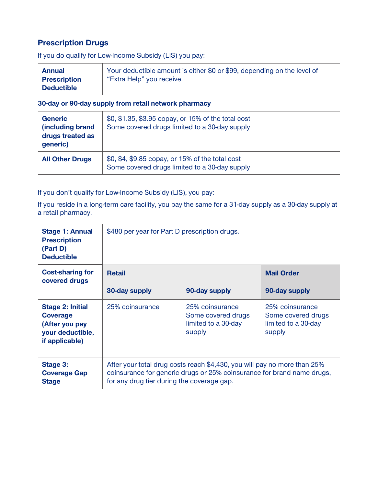#### **Prescription Drugs**

**If you do qualify for Low-Income Subsidy (LIS) you pay:**

| <b>Annual</b>       | Your deductible amount is either \$0 or \$99, depending on the level of |
|---------------------|-------------------------------------------------------------------------|
| <b>Prescription</b> | "Extra Help" you receive.                                               |
| <b>Deductible</b>   |                                                                         |

#### **30-day or 90-day supply from retail network pharmacy**

| <b>Generic</b><br>(including brand<br>drugs treated as<br>generic) | \$0, \$1.35, \$3.95 copay, or 15% of the total cost<br>Some covered drugs limited to a 30-day supply |
|--------------------------------------------------------------------|------------------------------------------------------------------------------------------------------|
| <b>All Other Drugs</b>                                             | \$0, \$4, \$9.85 copay, or 15% of the total cost<br>Some covered drugs limited to a 30-day supply    |

**If you don't qualify for Low-Income Subsidy (LIS), you pay:**

**If you reside in a long-term care facility, you pay the same for a 31-day supply as a 30-day supply at a retail pharmacy.**

| <b>Stage 1: Annual</b><br><b>Prescription</b><br>(Part D)<br><b>Deductible</b>                     | \$480 per year for Part D prescription drugs.                                                                                                                                                    |                                                                        |                                                                        |
|----------------------------------------------------------------------------------------------------|--------------------------------------------------------------------------------------------------------------------------------------------------------------------------------------------------|------------------------------------------------------------------------|------------------------------------------------------------------------|
| <b>Cost-sharing for</b><br>covered drugs                                                           | <b>Retail</b>                                                                                                                                                                                    |                                                                        | <b>Mail Order</b>                                                      |
|                                                                                                    | 30-day supply                                                                                                                                                                                    | 90-day supply                                                          | 90-day supply                                                          |
| <b>Stage 2: Initial</b><br><b>Coverage</b><br>(After you pay<br>your deductible,<br>if applicable) | 25% coinsurance                                                                                                                                                                                  | 25% coinsurance<br>Some covered drugs<br>limited to a 30-day<br>supply | 25% coinsurance<br>Some covered drugs<br>limited to a 30-day<br>supply |
| <b>Stage 3:</b><br><b>Coverage Gap</b><br><b>Stage</b>                                             | After your total drug costs reach \$4,430, you will pay no more than 25%<br>coinsurance for generic drugs or 25% coinsurance for brand name drugs,<br>for any drug tier during the coverage gap. |                                                                        |                                                                        |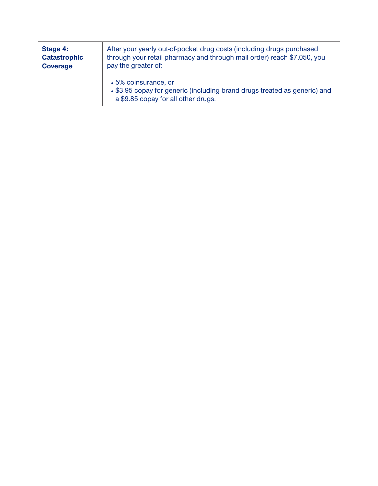| Stage 4:<br><b>Catastrophic</b><br><b>Coverage</b> | After your yearly out-of-pocket drug costs (including drugs purchased<br>through your retail pharmacy and through mail order) reach \$7,050, you<br>pay the greater of: |
|----------------------------------------------------|-------------------------------------------------------------------------------------------------------------------------------------------------------------------------|
|                                                    | □5% coinsurance, or<br>□ \$3.95 copay for generic (including brand drugs treated as generic) and<br>a \$9.85 copay for all other drugs.                                 |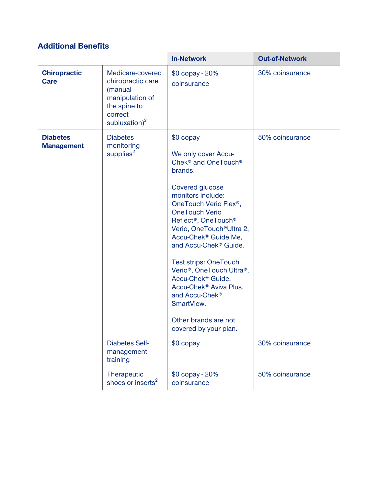## **Additional Benefits**

|                                      |                                                                                                                       | <b>In-Network</b>                                                                                                                                                                                                                                                                                                                                                                                                                                                                                                                                                                                                             | <b>Out-of-Network</b> |
|--------------------------------------|-----------------------------------------------------------------------------------------------------------------------|-------------------------------------------------------------------------------------------------------------------------------------------------------------------------------------------------------------------------------------------------------------------------------------------------------------------------------------------------------------------------------------------------------------------------------------------------------------------------------------------------------------------------------------------------------------------------------------------------------------------------------|-----------------------|
| <b>Chiropractic</b><br><b>Care</b>   | Medicare-covered<br>chiropractic care<br>(manual<br>manipulation of<br>the spine to<br>correct<br>subluxation) $^{2}$ | \$0 copay - 20%<br>coinsurance                                                                                                                                                                                                                                                                                                                                                                                                                                                                                                                                                                                                | 30% coinsurance       |
| <b>Diabetes</b><br><b>Management</b> | <b>Diabetes</b><br>monitoring<br>supplies <sup>2</sup>                                                                | \$0 copay<br>We only cover Accu-<br>Chek <sup>®</sup> and OneTouch <sup>®</sup><br>brands.<br>Covered glucose<br>monitors include:<br>OneTouch Verio Flex <sup>®</sup> ,<br><b>OneTouch Verio</b><br>Reflect <sup>®</sup> , OneTouch <sup>®</sup><br>Verio, OneTouch <sup>®</sup> Ultra 2,<br>Accu-Chek <sup>®</sup> Guide Me,<br>and Accu-Chek <sup>®</sup> Guide.<br><b>Test strips: OneTouch</b><br>Verio <sup>®</sup> , OneTouch Ultra <sup>®</sup> ,<br>Accu-Chek <sup>®</sup> Guide,<br>Accu-Chek <sup>®</sup> Aviva Plus,<br>and Accu-Chek <sup>®</sup><br>SmartView.<br>Other brands are not<br>covered by your plan. | 50% coinsurance       |
|                                      | <b>Diabetes Self-</b><br>management<br>training                                                                       | \$0 copay                                                                                                                                                                                                                                                                                                                                                                                                                                                                                                                                                                                                                     | 30% coinsurance       |
|                                      | Therapeutic<br>shoes or inserts <sup>2</sup>                                                                          | \$0 copay - 20%<br>coinsurance                                                                                                                                                                                                                                                                                                                                                                                                                                                                                                                                                                                                | 50% coinsurance       |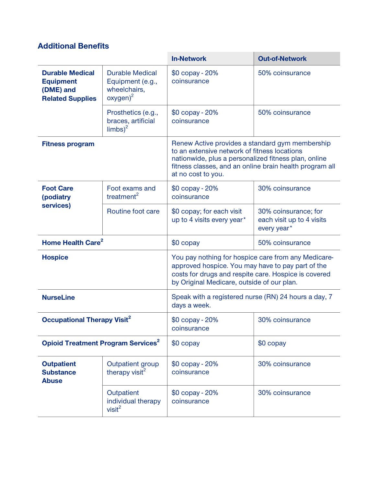### **Additional Benefits**

|                                                                                    |                                                                           | <b>In-Network</b>                                                                                                                                                                                                                        | <b>Out-of-Network</b>                                            |
|------------------------------------------------------------------------------------|---------------------------------------------------------------------------|------------------------------------------------------------------------------------------------------------------------------------------------------------------------------------------------------------------------------------------|------------------------------------------------------------------|
| <b>Durable Medical</b><br><b>Equipment</b><br>(DME) and<br><b>Related Supplies</b> | <b>Durable Medical</b><br>Equipment (e.g.,<br>wheelchairs.<br>$oxygen)^2$ | \$0 copay - 20%<br>coinsurance                                                                                                                                                                                                           | 50% coinsurance                                                  |
|                                                                                    | Prosthetics (e.g.,<br>braces, artificial<br>$\text{limbs}$ <sup>2</sup>   | \$0 copay - 20%<br>coinsurance                                                                                                                                                                                                           | 50% coinsurance                                                  |
| <b>Fitness program</b>                                                             |                                                                           | Renew Active provides a standard gym membership<br>to an extensive network of fitness locations<br>nationwide, plus a personalized fitness plan, online<br>fitness classes, and an online brain health program all<br>at no cost to you. |                                                                  |
| <b>Foot Care</b><br>(podiatry                                                      | Foot exams and<br>treatment <sup>2</sup>                                  | \$0 copay - 20%<br>coinsurance                                                                                                                                                                                                           | 30% coinsurance                                                  |
| services)                                                                          | Routine foot care                                                         | \$0 copay; for each visit<br>up to 4 visits every year*                                                                                                                                                                                  | 30% coinsurance; for<br>each visit up to 4 visits<br>every year* |
| Home Health Care <sup>2</sup>                                                      |                                                                           | \$0 copay                                                                                                                                                                                                                                | 50% coinsurance                                                  |
| <b>Hospice</b>                                                                     |                                                                           | You pay nothing for hospice care from any Medicare-<br>approved hospice. You may have to pay part of the<br>costs for drugs and respite care. Hospice is covered<br>by Original Medicare, outside of our plan.                           |                                                                  |
| <b>NurseLine</b>                                                                   |                                                                           | Speak with a registered nurse (RN) 24 hours a day, 7<br>days a week.                                                                                                                                                                     |                                                                  |
| <b>Occupational Therapy Visit<sup>2</sup></b>                                      |                                                                           | \$0 copay - 20%<br>coinsurance                                                                                                                                                                                                           | 30% coinsurance                                                  |
| <b>Opioid Treatment Program Services<sup>2</sup></b>                               |                                                                           | \$0 copay                                                                                                                                                                                                                                | \$0 copay                                                        |
| <b>Outpatient</b><br><b>Substance</b><br><b>Abuse</b>                              | Outpatient group<br>therapy visit <sup>2</sup>                            | \$0 copay - 20%<br>coinsurance                                                                                                                                                                                                           | 30% coinsurance                                                  |
|                                                                                    | Outpatient<br>individual therapy<br>visit <sup>2</sup>                    | \$0 copay - 20%<br>coinsurance                                                                                                                                                                                                           | 30% coinsurance                                                  |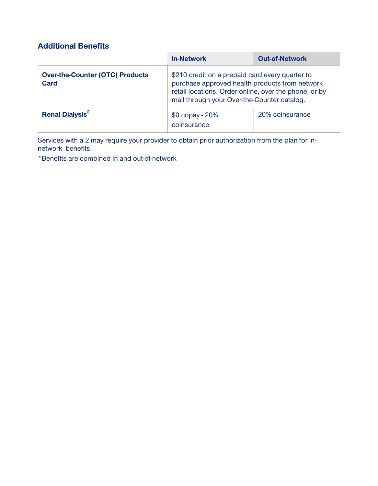## **Additional Benefits**

|                                                | <b>In-Network</b>                                                                                                                                                                                         | <b>Out-of-Network</b> |
|------------------------------------------------|-----------------------------------------------------------------------------------------------------------------------------------------------------------------------------------------------------------|-----------------------|
| <b>Over-the-Counter (OTC) Products</b><br>Card | \$210 credit on a prepaid card every quarter to<br>purchase approved health products from network<br>retail locations. Order online, over the phone, or by<br>mail through your Over-the-Counter catalog. |                       |
| <b>Renal Dialysis<sup>2</sup></b>              | \$0 copay - 20%<br>coinsurance                                                                                                                                                                            | 20% coinsurance       |

**Services with a 2 may require your provider to obtain prior authorization from the plan for innetwork benefits.**

**\*Benefits are combined in and out-of-network**